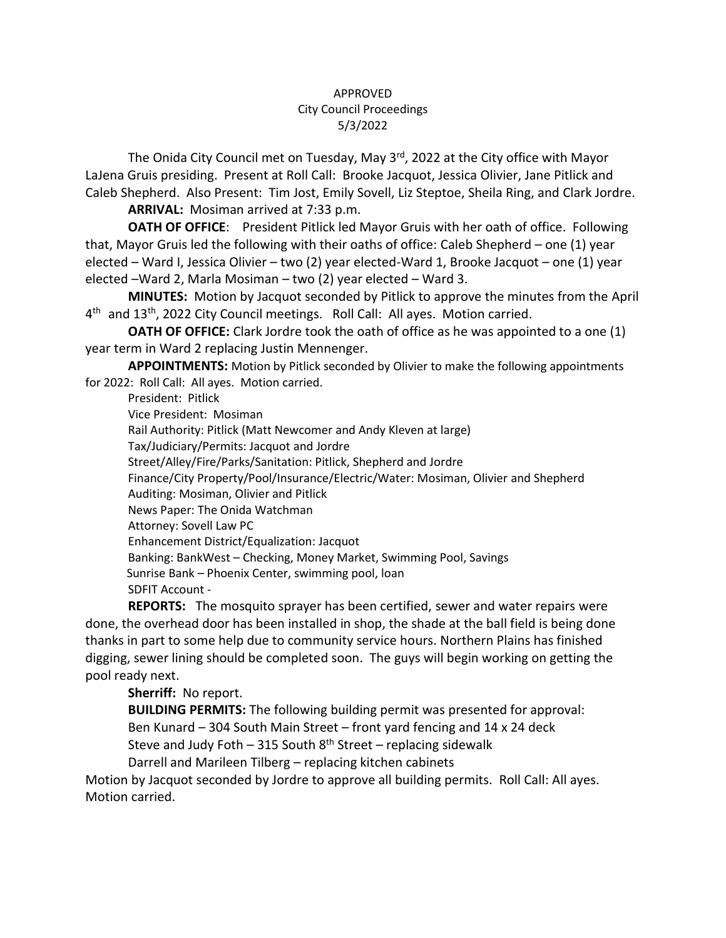## APPROVED City Council Proceedings 5/3/2022

The Onida City Council met on Tuesday, May 3<sup>rd</sup>, 2022 at the City office with Mayor LaJena Gruis presiding. Present at Roll Call: Brooke Jacquot, Jessica Olivier, Jane Pitlick and Caleb Shepherd. Also Present: Tim Jost, Emily Sovell, Liz Steptoe, Sheila Ring, and Clark Jordre.

**ARRIVAL:** Mosiman arrived at 7:33 p.m.

**OATH OF OFFICE**: President Pitlick led Mayor Gruis with her oath of office. Following that, Mayor Gruis led the following with their oaths of office: Caleb Shepherd – one (1) year elected – Ward I, Jessica Olivier – two (2) year elected-Ward 1, Brooke Jacquot – one (1) year elected –Ward 2, Marla Mosiman – two (2) year elected – Ward 3.

**MINUTES:** Motion by Jacquot seconded by Pitlick to approve the minutes from the April 4<sup>th</sup> and 13<sup>th</sup>, 2022 City Council meetings. Roll Call: All ayes. Motion carried.

**OATH OF OFFICE:** Clark Jordre took the oath of office as he was appointed to a one (1) year term in Ward 2 replacing Justin Mennenger.

**APPOINTMENTS:** Motion by Pitlick seconded by Olivier to make the following appointments for 2022: Roll Call: All ayes. Motion carried.

President: Pitlick Vice President: Mosiman Rail Authority: Pitlick (Matt Newcomer and Andy Kleven at large) Tax/Judiciary/Permits: Jacquot and Jordre Street/Alley/Fire/Parks/Sanitation: Pitlick, Shepherd and Jordre Finance/City Property/Pool/Insurance/Electric/Water: Mosiman, Olivier and Shepherd Auditing: Mosiman, Olivier and Pitlick News Paper: The Onida Watchman Attorney: Sovell Law PC Enhancement District/Equalization: Jacquot Banking: BankWest – Checking, Money Market, Swimming Pool, Savings Sunrise Bank – Phoenix Center, swimming pool, loan SDFIT Account -

**REPORTS:** The mosquito sprayer has been certified, sewer and water repairs were done, the overhead door has been installed in shop, the shade at the ball field is being done thanks in part to some help due to community service hours. Northern Plains has finished digging, sewer lining should be completed soon. The guys will begin working on getting the pool ready next.

**Sherriff:** No report.

**BUILDING PERMITS:** The following building permit was presented for approval: Ben Kunard – 304 South Main Street – front yard fencing and 14 x 24 deck

Steve and Judy Foth – 315 South  $8<sup>th</sup>$  Street – replacing sidewalk

Darrell and Marileen Tilberg – replacing kitchen cabinets Motion by Jacquot seconded by Jordre to approve all building permits. Roll Call: All ayes.

Motion carried.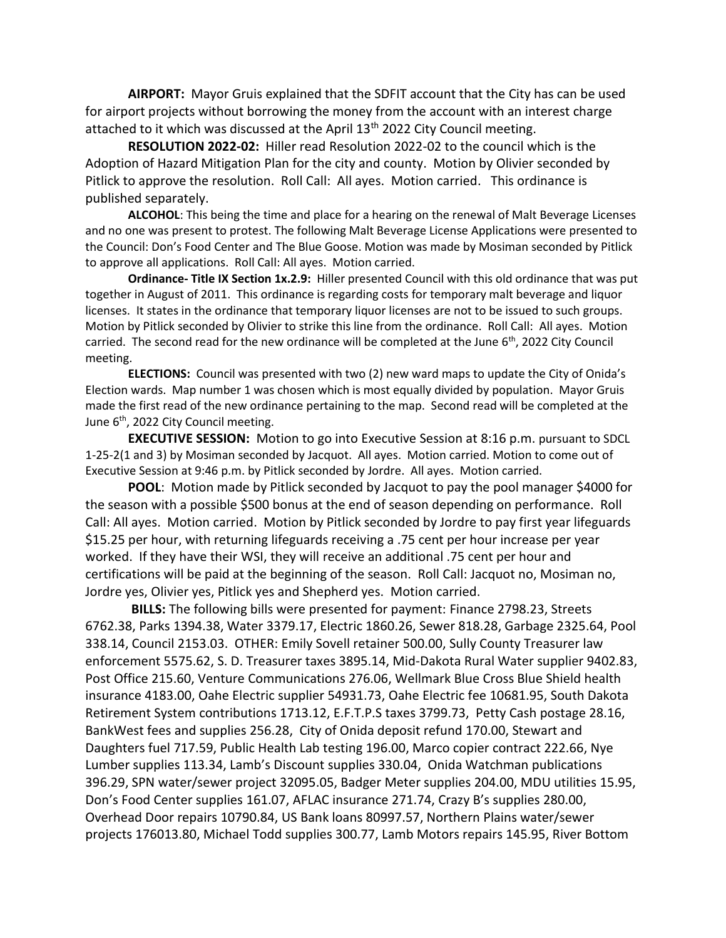**AIRPORT:** Mayor Gruis explained that the SDFIT account that the City has can be used for airport projects without borrowing the money from the account with an interest charge attached to it which was discussed at the April  $13<sup>th</sup>$  2022 City Council meeting.

**RESOLUTION 2022-02:** Hiller read Resolution 2022-02 to the council which is the Adoption of Hazard Mitigation Plan for the city and county. Motion by Olivier seconded by Pitlick to approve the resolution. Roll Call: All ayes. Motion carried. This ordinance is published separately.

**ALCOHOL**: This being the time and place for a hearing on the renewal of Malt Beverage Licenses and no one was present to protest. The following Malt Beverage License Applications were presented to the Council: Don's Food Center and The Blue Goose. Motion was made by Mosiman seconded by Pitlick to approve all applications. Roll Call: All ayes. Motion carried.

**Ordinance- Title IX Section 1x.2.9:** Hiller presented Council with this old ordinance that was put together in August of 2011. This ordinance is regarding costs for temporary malt beverage and liquor licenses. It states in the ordinance that temporary liquor licenses are not to be issued to such groups. Motion by Pitlick seconded by Olivier to strike this line from the ordinance. Roll Call: All ayes. Motion carried. The second read for the new ordinance will be completed at the June 6<sup>th</sup>, 2022 City Council meeting.

**ELECTIONS:** Council was presented with two (2) new ward maps to update the City of Onida's Election wards. Map number 1 was chosen which is most equally divided by population. Mayor Gruis made the first read of the new ordinance pertaining to the map. Second read will be completed at the June  $6<sup>th</sup>$ , 2022 City Council meeting.

**EXECUTIVE SESSION:** Motion to go into Executive Session at 8:16 p.m. pursuant to SDCL 1-25-2(1 and 3) by Mosiman seconded by Jacquot. All ayes. Motion carried. Motion to come out of Executive Session at 9:46 p.m. by Pitlick seconded by Jordre. All ayes. Motion carried.

**POOL**: Motion made by Pitlick seconded by Jacquot to pay the pool manager \$4000 for the season with a possible \$500 bonus at the end of season depending on performance. Roll Call: All ayes. Motion carried. Motion by Pitlick seconded by Jordre to pay first year lifeguards \$15.25 per hour, with returning lifeguards receiving a .75 cent per hour increase per year worked. If they have their WSI, they will receive an additional .75 cent per hour and certifications will be paid at the beginning of the season. Roll Call: Jacquot no, Mosiman no, Jordre yes, Olivier yes, Pitlick yes and Shepherd yes. Motion carried.

**BILLS:** The following bills were presented for payment: Finance 2798.23, Streets 6762.38, Parks 1394.38, Water 3379.17, Electric 1860.26, Sewer 818.28, Garbage 2325.64, Pool 338.14, Council 2153.03. OTHER: Emily Sovell retainer 500.00, Sully County Treasurer law enforcement 5575.62, S. D. Treasurer taxes 3895.14, Mid-Dakota Rural Water supplier 9402.83, Post Office 215.60, Venture Communications 276.06, Wellmark Blue Cross Blue Shield health insurance 4183.00, Oahe Electric supplier 54931.73, Oahe Electric fee 10681.95, South Dakota Retirement System contributions 1713.12, E.F.T.P.S taxes 3799.73, Petty Cash postage 28.16, BankWest fees and supplies 256.28, City of Onida deposit refund 170.00, Stewart and Daughters fuel 717.59, Public Health Lab testing 196.00, Marco copier contract 222.66, Nye Lumber supplies 113.34, Lamb's Discount supplies 330.04, Onida Watchman publications 396.29, SPN water/sewer project 32095.05, Badger Meter supplies 204.00, MDU utilities 15.95, Don's Food Center supplies 161.07, AFLAC insurance 271.74, Crazy B's supplies 280.00, Overhead Door repairs 10790.84, US Bank loans 80997.57, Northern Plains water/sewer projects 176013.80, Michael Todd supplies 300.77, Lamb Motors repairs 145.95, River Bottom